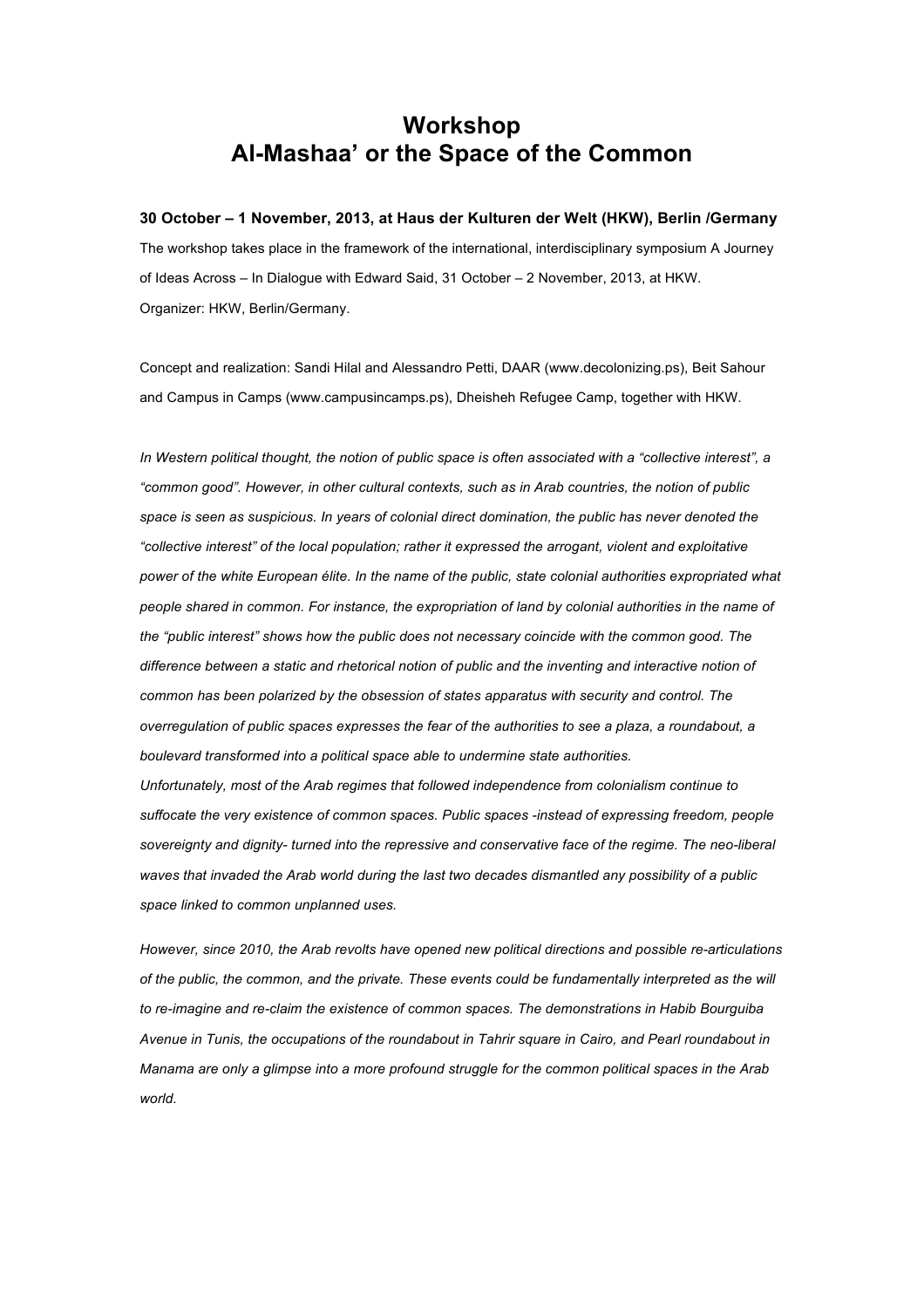## **Workshop Al-Mashaa' or the Space of the Common**

## **30 October – 1 November, 2013, at Haus der Kulturen der Welt (HKW), Berlin /Germany**

The workshop takes place in the framework of the international, interdisciplinary symposium A Journey of Ideas Across – In Dialogue with Edward Said, 31 October – 2 November, 2013, at HKW. Organizer: HKW, Berlin/Germany.

Concept and realization: Sandi Hilal and Alessandro Petti, DAAR (www.decolonizing.ps), Beit Sahour and Campus in Camps (www.campusincamps.ps), Dheisheh Refugee Camp, together with HKW.

*In Western political thought, the notion of public space is often associated with a "collective interest", a "common good". However, in other cultural contexts, such as in Arab countries, the notion of public space is seen as suspicious. In years of colonial direct domination, the public has never denoted the "collective interest" of the local population; rather it expressed the arrogant, violent and exploitative power of the white European élite. In the name of the public, state colonial authorities expropriated what people shared in common. For instance, the expropriation of land by colonial authorities in the name of the "public interest" shows how the public does not necessary coincide with the common good. The difference between a static and rhetorical notion of public and the inventing and interactive notion of common has been polarized by the obsession of states apparatus with security and control. The overregulation of public spaces expresses the fear of the authorities to see a plaza, a roundabout, a boulevard transformed into a political space able to undermine state authorities. Unfortunately, most of the Arab regimes that followed independence from colonialism continue to suffocate the very existence of common spaces. Public spaces -instead of expressing freedom, people sovereignty and dignity- turned into the repressive and conservative face of the regime. The neo-liberal waves that invaded the Arab world during the last two decades dismantled any possibility of a public space linked to common unplanned uses.*

*However, since 2010, the Arab revolts have opened new political directions and possible re-articulations of the public, the common, and the private. These events could be fundamentally interpreted as the will to re-imagine and re-claim the existence of common spaces. The demonstrations in Habib Bourguiba Avenue in Tunis, the occupations of the roundabout in Tahrir square in Cairo, and Pearl roundabout in Manama are only a glimpse into a more profound struggle for the common political spaces in the Arab world.*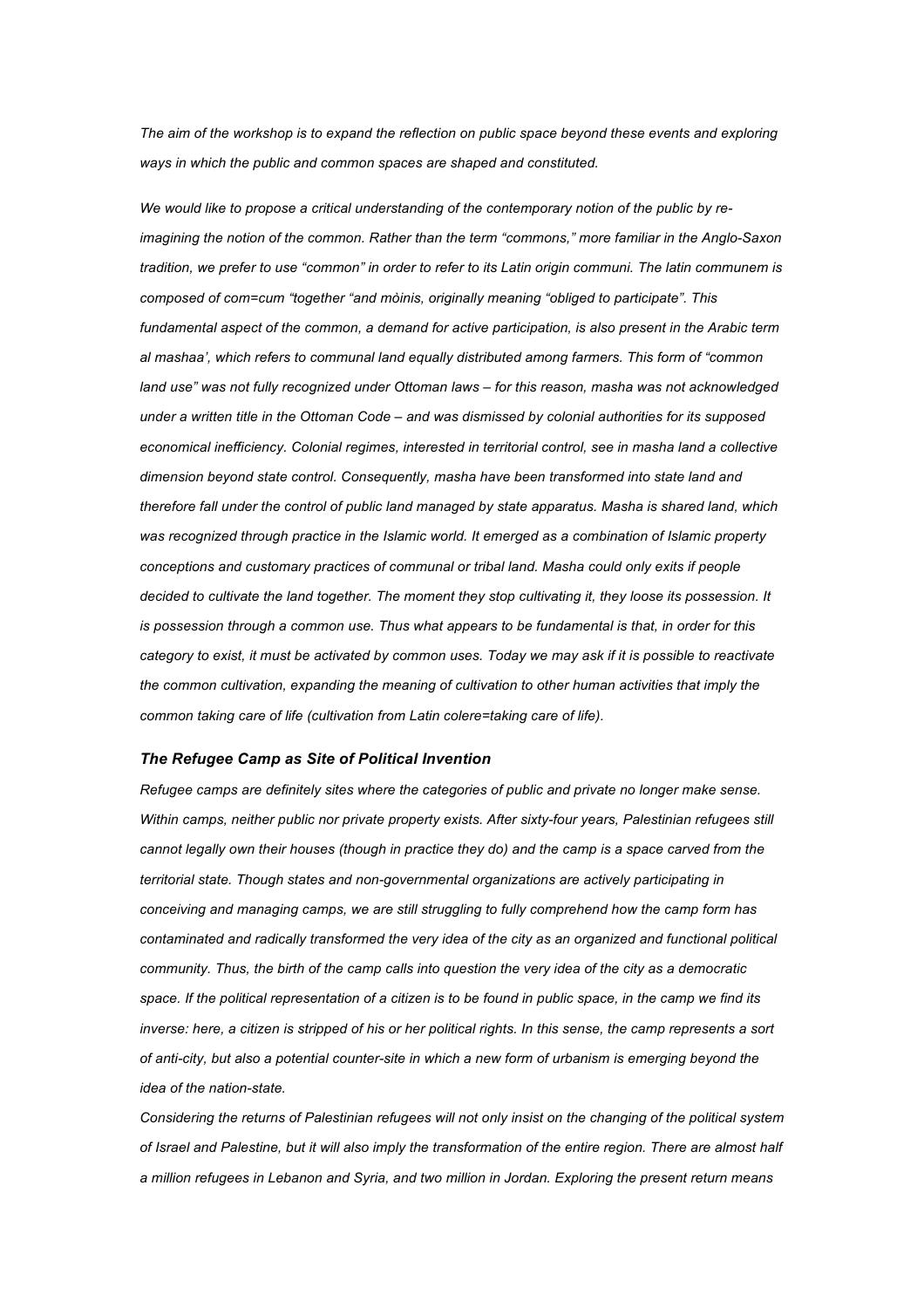*The aim of the workshop is to expand the reflection on public space beyond these events and exploring ways in which the public and common spaces are shaped and constituted.*

*We would like to propose a critical understanding of the contemporary notion of the public by reimagining the notion of the common. Rather than the term "commons," more familiar in the Anglo-Saxon tradition, we prefer to use "common" in order to refer to its Latin origin communi. The latin communem is composed of com=cum "together "and mòinis, originally meaning "obliged to participate". This fundamental aspect of the common, a demand for active participation, is also present in the Arabic term al mashaa', which refers to communal land equally distributed among farmers. This form of "common land use" was not fully recognized under Ottoman laws – for this reason, masha was not acknowledged under a written title in the Ottoman Code – and was dismissed by colonial authorities for its supposed economical inefficiency. Colonial regimes, interested in territorial control, see in masha land a collective dimension beyond state control. Consequently, masha have been transformed into state land and therefore fall under the control of public land managed by state apparatus. Masha is shared land, which was recognized through practice in the Islamic world. It emerged as a combination of Islamic property conceptions and customary practices of communal or tribal land. Masha could only exits if people decided to cultivate the land together. The moment they stop cultivating it, they loose its possession. It is possession through a common use. Thus what appears to be fundamental is that, in order for this category to exist, it must be activated by common uses. Today we may ask if it is possible to reactivate the common cultivation, expanding the meaning of cultivation to other human activities that imply the common taking care of life (cultivation from Latin colere=taking care of life).*

## *The Refugee Camp as Site of Political Invention*

*Refugee camps are definitely sites where the categories of public and private no longer make sense. Within camps, neither public nor private property exists. After sixty-four years, Palestinian refugees still cannot legally own their houses (though in practice they do) and the camp is a space carved from the territorial state. Though states and non-governmental organizations are actively participating in conceiving and managing camps, we are still struggling to fully comprehend how the camp form has contaminated and radically transformed the very idea of the city as an organized and functional political community. Thus, the birth of the camp calls into question the very idea of the city as a democratic space. If the political representation of a citizen is to be found in public space, in the camp we find its inverse: here, a citizen is stripped of his or her political rights. In this sense, the camp represents a sort of anti-city, but also a potential counter-site in which a new form of urbanism is emerging beyond the idea of the nation-state.*

*Considering the returns of Palestinian refugees will not only insist on the changing of the political system of Israel and Palestine, but it will also imply the transformation of the entire region. There are almost half a million refugees in Lebanon and Syria, and two million in Jordan. Exploring the present return means*